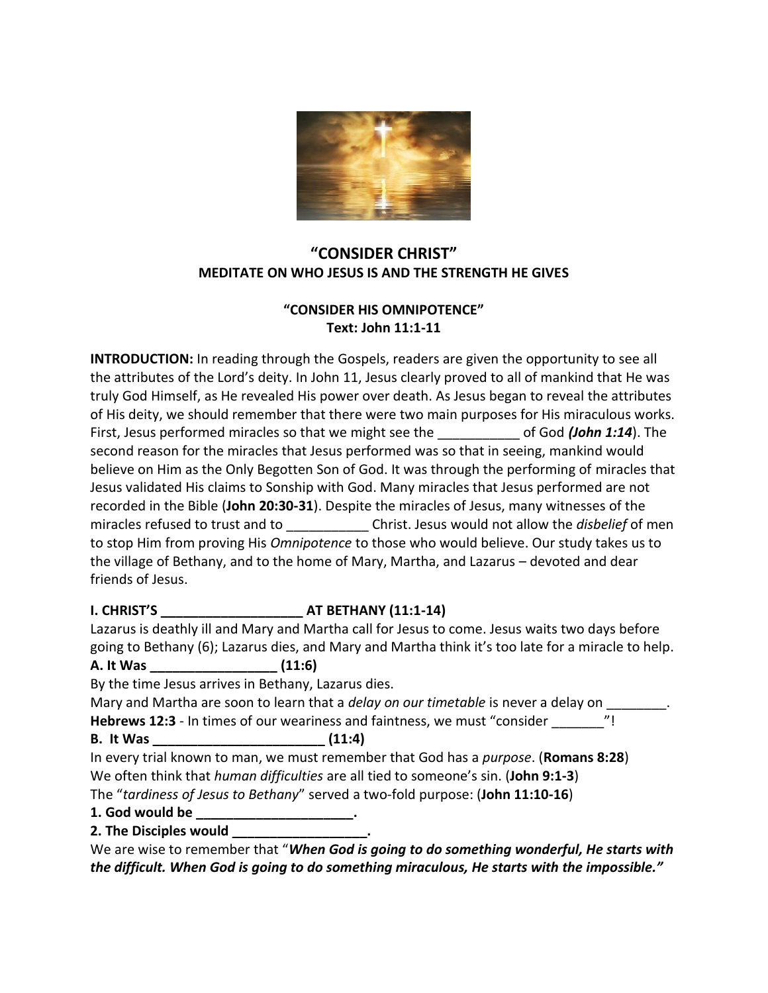

## **"CONSIDER CHRIST" MEDITATE ON WHO JESUS IS AND THE STRENGTH HE GIVES**

## **"CONSIDER HIS OMNIPOTENCE" Text: John 11:1-11**

**INTRODUCTION:** In reading through the Gospels, readers are given the opportunity to see all the attributes of the Lord's deity. In John 11, Jesus clearly proved to all of mankind that He was truly God Himself, as He revealed His power over death. As Jesus began to reveal the attributes of His deity, we should remember that there were two main purposes for His miraculous works. First, Jesus performed miracles so that we might see the \_\_\_\_\_\_\_\_\_\_\_\_\_\_ of God (John 1:14). The second reason for the miracles that Jesus performed was so that in seeing, mankind would believe on Him as the Only Begotten Son of God. It was through the performing of miracles that Jesus validated His claims to Sonship with God. Many miracles that Jesus performed are not recorded in the Bible (**John 20:30-31**). Despite the miracles of Jesus, many witnesses of the miracles refused to trust and to \_\_\_\_\_\_\_\_\_\_\_ Christ. Jesus would not allow the *disbelief* of men to stop Him from proving His *Omnipotence* to those who would believe. Our study takes us to the village of Bethany, and to the home of Mary, Martha, and Lazarus – devoted and dear friends of Jesus.

## **I. CHRIST'S AT BETHANY (11:1-14)**

Lazarus is deathly ill and Mary and Martha call for Jesus to come. Jesus waits two days before going to Bethany (6); Lazarus dies, and Mary and Martha think it's too late for a miracle to help. **A. It Was \_\_\_\_\_\_\_\_\_\_\_\_\_\_\_\_\_ (11:6)**

By the time Jesus arrives in Bethany, Lazarus dies.

Mary and Martha are soon to learn that a *delay on our timetable* is never a delay on **Hebrews 12:3** - In times of our weariness and faintness, we must "consider \_\_\_\_\_\_\_"!

**B. It Was \_\_\_\_\_\_\_\_\_\_\_\_\_\_\_\_\_\_\_\_\_\_\_ (11:4)**

In every trial known to man, we must remember that God has a *purpose*. (**Romans 8:28**) We often think that *human difficulties* are all tied to someone's sin. (**John 9:1-3**)

The "*tardiness of Jesus to Bethany*" served a two-fold purpose: (**John 11:10-16**)

- **1. God would be \_\_\_\_\_\_\_\_\_\_\_\_\_\_\_\_\_\_\_\_\_.**
- **2. The Disciples would**

We are wise to remember that "*When God is going to do something wonderful, He starts with the difficult. When God is going to do something miraculous, He starts with the impossible."*